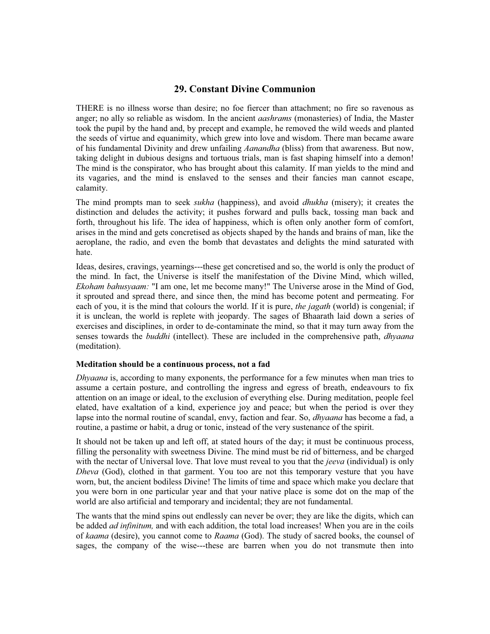# **29. Constant Divine Communion**

THERE is no illness worse than desire; no foe fiercer than attachment; no fire so ravenous as anger; no ally so reliable as wisdom. In the ancient *aashrams* (monasteries) of India, the Master took the pupil by the hand and, by precept and example, he removed the wild weeds and planted the seeds of virtue and equanimity, which grew into love and wisdom. There man became aware of his fundamental Divinity and drew unfailing *Aanandha* (bliss) from that awareness. But now, taking delight in dubious designs and tortuous trials, man is fast shaping himself into a demon! The mind is the conspirator, who has brought about this calamity. If man yields to the mind and its vagaries, and the mind is enslaved to the senses and their fancies man cannot escape, calamity.

The mind prompts man to seek *sukha* (happiness), and avoid *dhukha* (misery); it creates the distinction and deludes the activity; it pushes forward and pulls back, tossing man back and forth, throughout his life. The idea of happiness, which is often only another form of comfort, arises in the mind and gets concretised as objects shaped by the hands and brains of man, like the aeroplane, the radio, and even the bomb that devastates and delights the mind saturated with hate.

Ideas, desires, cravings, yearnings---these get concretised and so, the world is only the product of the mind. In fact, the Universe is itself the manifestation of the Divine Mind, which willed, *Ekoham bahusyaam:* "I am one, let me become many!" The Universe arose in the Mind of God, it sprouted and spread there, and since then, the mind has become potent and permeating. For each of you, it is the mind that colours the world. If it is pure, *the jagath* (world) is congenial; if it is unclean, the world is replete with jeopardy. The sages of Bhaarath laid down a series of exercises and disciplines, in order to de-contaminate the mind, so that it may turn away from the senses towards the *buddhi* (intellect). These are included in the comprehensive path, *dhyaana* (meditation).

### **Meditation should be a continuous process, not a fad**

*Dhyaana* is, according to many exponents, the performance for a few minutes when man tries to assume a certain posture, and controlling the ingress and egress of breath, endeavours to fix attention on an image or ideal, to the exclusion of everything else. During meditation, people feel elated, have exaltation of a kind, experience joy and peace; but when the period is over they lapse into the normal routine of scandal, envy, faction and fear. So, *dhyaana* has become a fad, a routine, a pastime or habit, a drug or tonic, instead of the very sustenance of the spirit.

It should not be taken up and left off, at stated hours of the day; it must be continuous process, filling the personality with sweetness Divine. The mind must be rid of bitterness, and be charged with the nectar of Universal love. That love must reveal to you that the *jeeva* (individual) is only *Dheva* (God), clothed in that garment. You too are not this temporary vesture that you have worn, but, the ancient bodiless Divine! The limits of time and space which make you declare that you were born in one particular year and that your native place is some dot on the map of the world are also artificial and temporary and incidental; they are not fundamental.

The wants that the mind spins out endlessly can never be over; they are like the digits, which can be added *ad infinitum,* and with each addition, the total load increases! When you are in the coils of *kaama* (desire), you cannot come to *Raama* (God). The study of sacred books, the counsel of sages, the company of the wise---these are barren when you do not transmute then into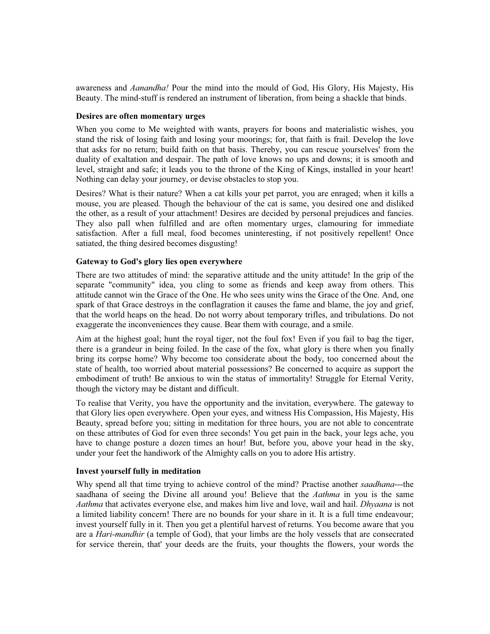awareness and *Aanandha!* Pour the mind into the mould of God, His Glory, His Majesty, His Beauty. The mind-stuff is rendered an instrument of liberation, from being a shackle that binds.

### **Desires are often momentary urges**

When you come to Me weighted with wants, prayers for boons and materialistic wishes, you stand the risk of losing faith and losing your moorings; for, that faith is frail. Develop the love that asks for no return; build faith on that basis. Thereby, you can rescue yourselves' from the duality of exaltation and despair. The path of love knows no ups and downs; it is smooth and level, straight and safe; it leads you to the throne of the King of Kings, installed in your heart! Nothing can delay your journey, or devise obstacles to stop you.

Desires? What is their nature? When a cat kills your pet parrot, you are enraged; when it kills a mouse, you are pleased. Though the behaviour of the cat is same, you desired one and disliked the other, as a result of your attachment! Desires are decided by personal prejudices and fancies. They also pall when fulfilled and are often momentary urges, clamouring for immediate satisfaction. After a full meal, food becomes uninteresting, if not positively repellent! Once satiated, the thing desired becomes disgusting!

### **Gateway to God's glory lies open everywhere**

There are two attitudes of mind: the separative attitude and the unity attitude! In the grip of the separate "community" idea, you cling to some as friends and keep away from others. This attitude cannot win the Grace of the One. He who sees unity wins the Grace of the One. And, one spark of that Grace destroys in the conflagration it causes the fame and blame, the joy and grief, that the world heaps on the head. Do not worry about temporary trifles, and tribulations. Do not exaggerate the inconveniences they cause. Bear them with courage, and a smile.

Aim at the highest goal; hunt the royal tiger, not the foul fox! Even if you fail to bag the tiger, there is a grandeur in being foiled. In the case of the fox, what glory is there when you finally bring its corpse home? Why become too considerate about the body, too concerned about the state of health, too worried about material possessions? Be concerned to acquire as support the embodiment of truth! Be anxious to win the status of immortality! Struggle for Eternal Verity, though the victory may be distant and difficult.

To realise that Verity, you have the opportunity and the invitation, everywhere. The gateway to that Glory lies open everywhere. Open your eyes, and witness His Compassion, His Majesty, His Beauty, spread before you; sitting in meditation for three hours, you are not able to concentrate on these attributes of God for even three seconds! You get pain in the back, your legs ache, you have to change posture a dozen times an hour! But, before you, above your head in the sky, under your feet the handiwork of the Almighty calls on you to adore His artistry.

## **Invest yourself fully in meditation**

Why spend all that time trying to achieve control of the mind? Practise another *saadhana*---the saadhana of seeing the Divine all around you! Believe that the *Aathma* in you is the same *Aathma* that activates everyone else, and makes him live and love, wail and hail. *Dhyaana* is not a limited liability concern! There are no bounds for your share in it. It is a full time endeavour; invest yourself fully in it. Then you get a plentiful harvest of returns. You become aware that you are a *Hari-mandhir* (a temple of God), that your limbs are the holy vessels that are consecrated for service therein, that' your deeds are the fruits, your thoughts the flowers, your words the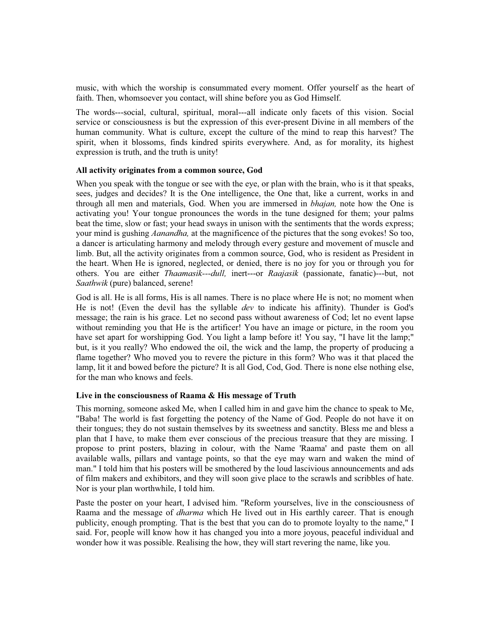music, with which the worship is consummated every moment. Offer yourself as the heart of faith. Then, whomsoever you contact, will shine before you as God Himself.

The words---social, cultural, spiritual, moral---all indicate only facets of this vision. Social service or consciousness is but the expression of this ever-present Divine in all members of the human community. What is culture, except the culture of the mind to reap this harvest? The spirit, when it blossoms, finds kindred spirits everywhere. And, as for morality, its highest expression is truth, and the truth is unity!

### **All activity originates from a common source, God**

When you speak with the tongue or see with the eye, or plan with the brain, who is it that speaks, sees, judges and decides? It is the One intelligence, the One that, like a current, works in and through all men and materials, God. When you are immersed in *bhajan,* note how the One is activating you! Your tongue pronounces the words in the tune designed for them; your palms beat the time, slow or fast; your head sways in unison with the sentiments that the words express; your mind is gushing *Aanandha,* at the magnificence of the pictures that the song evokes! So too, a dancer is articulating harmony and melody through every gesture and movement of muscle and limb. But, all the activity originates from a common source, God, who is resident as President in the heart. When He is ignored, neglected, or denied, there is no joy for you or through you for others. You are either *Thaamasik---dull,* inert---or *Raajasik* (passionate, fanatic)---but, not *Saathwik* (pure) balanced, serene!

God is all. He is all forms, His is all names. There is no place where He is not; no moment when He is not! (Even the devil has the syllable *dev* to indicate his affinity). Thunder is God's message; the rain is his grace. Let no second pass without awareness of Cod; let no event lapse without reminding you that He is the artificer! You have an image or picture, in the room you have set apart for worshipping God. You light a lamp before it! You say, "I have lit the lamp;" but, is it you really? Who endowed the oil, the wick and the lamp, the property of producing a flame together? Who moved you to revere the picture in this form? Who was it that placed the lamp, lit it and bowed before the picture? It is all God, Cod, God. There is none else nothing else, for the man who knows and feels.

### **Live in the consciousness of Raama & His message of Truth**

This morning, someone asked Me, when I called him in and gave him the chance to speak to Me, "Baba! The world is fast forgetting the potency of the Name of God. People do not have it on their tongues; they do not sustain themselves by its sweetness and sanctity. Bless me and bless a plan that I have, to make them ever conscious of the precious treasure that they are missing. I propose to print posters, blazing in colour, with the Name 'Raama' and paste them on all available walls, pillars and vantage points, so that the eye may warn and waken the mind of man." I told him that his posters will be smothered by the loud lascivious announcements and ads of film makers and exhibitors, and they will soon give place to the scrawls and scribbles of hate. Nor is your plan worthwhile, I told him.

Paste the poster on your heart, I advised him. "Reform yourselves, live in the consciousness of Raama and the message of *dharma* which He lived out in His earthly career. That is enough publicity, enough prompting. That is the best that you can do to promote loyalty to the name," I said. For, people will know how it has changed you into a more joyous, peaceful individual and wonder how it was possible. Realising the how, they will start revering the name, like you.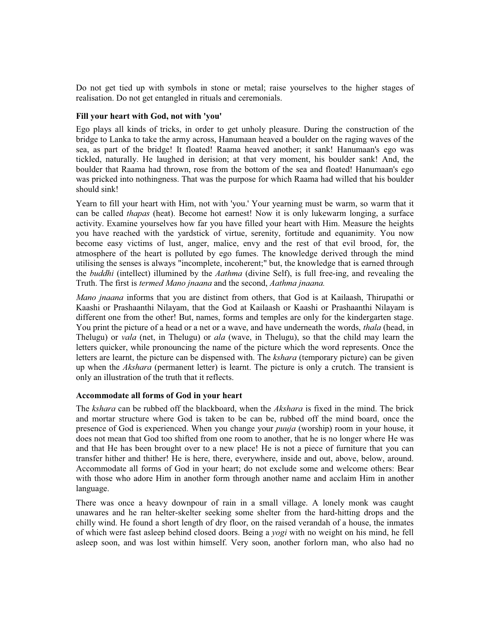Do not get tied up with symbols in stone or metal; raise yourselves to the higher stages of realisation. Do not get entangled in rituals and ceremonials.

### **Fill your heart with God, not with 'you'**

Ego plays all kinds of tricks, in order to get unholy pleasure. During the construction of the bridge to Lanka to take the army across, Hanumaan heaved a boulder on the raging waves of the sea, as part of the bridge! It floated! Raama heaved another; it sank! Hanumaan's ego was tickled, naturally. He laughed in derision; at that very moment, his boulder sank! And, the boulder that Raama had thrown, rose from the bottom of the sea and floated! Hanumaan's ego was pricked into nothingness. That was the purpose for which Raama had willed that his boulder should sink!

Yearn to fill your heart with Him, not with 'you.' Your yearning must be warm, so warm that it can be called *thapas* (heat). Become hot earnest! Now it is only lukewarm longing, a surface activity. Examine yourselves how far you have filled your heart with Him. Measure the heights you have reached with the yardstick of virtue, serenity, fortitude and equanimity. You now become easy victims of lust, anger, malice, envy and the rest of that evil brood, for, the atmosphere of the heart is polluted by ego fumes. The knowledge derived through the mind utilising the senses is always "incomplete, incoherent;" but, the knowledge that is earned through the *buddhi* (intellect) illumined by the *Aathma* (divine Self), is full free-ing, and revealing the Truth. The first is *termed Mano jnaana* and the second, *Aathma jnaana.*

*Mano jnaana* informs that you are distinct from others, that God is at Kailaash, Thirupathi or Kaashi or Prashaanthi Nilayam, that the God at Kailaash or Kaashi or Prashaanthi Nilayam is different one from the other! But, names, forms and temples are only for the kindergarten stage. You print the picture of a head or a net or a wave, and have underneath the words, *thala* (head, in Thelugu) or *vala* (net, in Thelugu) or *ala* (wave, in Thelugu), so that the child may learn the letters quicker, while pronouncing the name of the picture which the word represents. Once the letters are learnt, the picture can be dispensed with. The *kshara* (temporary picture) can be given up when the *Akshara* (permanent letter) is learnt. The picture is only a crutch. The transient is only an illustration of the truth that it reflects.

## **Accommodate all forms of God in your heart**

The *kshara* can be rubbed off the blackboard, when the *Akshara* is fixed in the mind. The brick and mortar structure where God is taken to be can be, rubbed off the mind board, once the presence of God is experienced. When you change your *puuja* (worship) room in your house, it does not mean that God too shifted from one room to another, that he is no longer where He was and that He has been brought over to a new place! He is not a piece of furniture that you can transfer hither and thither! He is here, there, everywhere, inside and out, above, below, around. Accommodate all forms of God in your heart; do not exclude some and welcome others: Bear with those who adore Him in another form through another name and acclaim Him in another language.

There was once a heavy downpour of rain in a small village. A lonely monk was caught unawares and he ran helter-skelter seeking some shelter from the hard-hitting drops and the chilly wind. He found a short length of dry floor, on the raised verandah of a house, the inmates of which were fast asleep behind closed doors. Being a *yogi* with no weight on his mind, he fell asleep soon, and was lost within himself. Very soon, another forlorn man, who also had no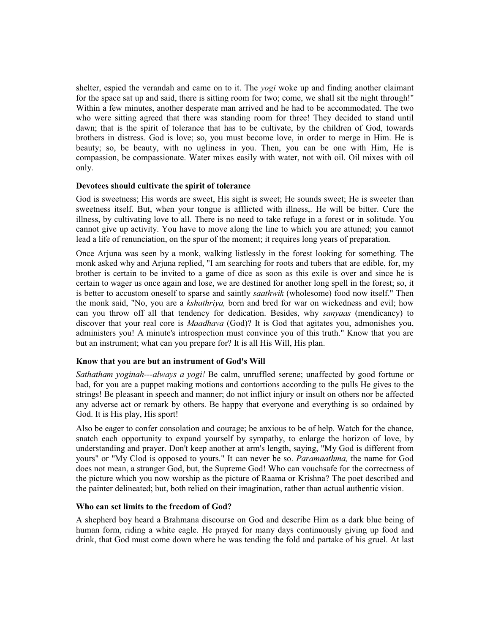shelter, espied the verandah and came on to it. The *yogi* woke up and finding another claimant for the space sat up and said, there is sitting room for two; come, we shall sit the night through!" Within a few minutes, another desperate man arrived and he had to be accommodated. The two who were sitting agreed that there was standing room for three! They decided to stand until dawn; that is the spirit of tolerance that has to be cultivate, by the children of God, towards brothers in distress. God is love; so, you must become love, in order to merge in Him. He is beauty; so, be beauty, with no ugliness in you. Then, you can be one with Him, He is compassion, be compassionate. Water mixes easily with water, not with oil. Oil mixes with oil only.

### **Devotees should cultivate the spirit of tolerance**

God is sweetness; His words are sweet, His sight is sweet; He sounds sweet; He is sweeter than sweetness itself. But, when your tongue is afflicted with illness,. He will be bitter. Cure the illness, by cultivating love to all. There is no need to take refuge in a forest or in solitude. You cannot give up activity. You have to move along the line to which you are attuned; you cannot lead a life of renunciation, on the spur of the moment; it requires long years of preparation.

Once Arjuna was seen by a monk, walking listlessly in the forest looking for something. The monk asked why and Arjuna replied, "I am searching for roots and tubers that are edible, for, my brother is certain to be invited to a game of dice as soon as this exile is over and since he is certain to wager us once again and lose, we are destined for another long spell in the forest; so, it is better to accustom oneself to sparse and saintly *saathwik* (wholesome) food now itself." Then the monk said, "No, you are a *kshathriya,* born and bred for war on wickedness and evil; how can you throw off all that tendency for dedication. Besides, why *sanyaas* (mendicancy) to discover that your real core is *Maadhava* (God)? It is God that agitates you, admonishes you, administers you! A minute's introspection must convince you of this truth." Know that you are but an instrument; what can you prepare for? It is all His Will, His plan.

## **Know that you are but an instrument of God's Will**

*Sathatham yoginah---always a yogi!* Be calm, unruffled serene; unaffected by good fortune or bad, for you are a puppet making motions and contortions according to the pulls He gives to the strings! Be pleasant in speech and manner; do not inflict injury or insult on others nor be affected any adverse act or remark by others. Be happy that everyone and everything is so ordained by God. It is His play, His sport!

Also be eager to confer consolation and courage; be anxious to be of help. Watch for the chance, snatch each opportunity to expand yourself by sympathy, to enlarge the horizon of love, by understanding and prayer. Don't keep another at arm's length, saying, "My God is different from yours" or "My Clod is opposed to yours." It can never be so. *Paramaathma,* the name for God does not mean, a stranger God, but, the Supreme God! Who can vouchsafe for the correctness of the picture which you now worship as the picture of Raama or Krishna? The poet described and the painter delineated; but, both relied on their imagination, rather than actual authentic vision.

### **Who can set limits to the freedom of God?**

A shepherd boy heard a Brahmana discourse on God and describe Him as a dark blue being of human form, riding a white eagle. He prayed for many days continuously giving up food and drink, that God must come down where he was tending the fold and partake of his gruel. At last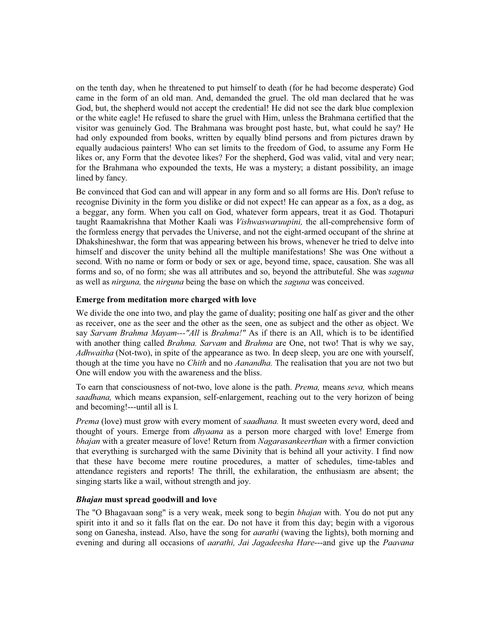on the tenth day, when he threatened to put himself to death (for he had become desperate) God came in the form of an old man. And, demanded the gruel. The old man declared that he was God, but, the shepherd would not accept the credential! He did not see the dark blue complexion or the white eagle! He refused to share the gruel with Him, unless the Brahmana certified that the visitor was genuinely God. The Brahmana was brought post haste, but, what could he say? He had only expounded from books, written by equally blind persons and from pictures drawn by equally audacious painters! Who can set limits to the freedom of God, to assume any Form He likes or, any Form that the devotee likes? For the shepherd, God was valid, vital and very near; for the Brahmana who expounded the texts, He was a mystery; a distant possibility, an image lined by fancy.

Be convinced that God can and will appear in any form and so all forms are His. Don't refuse to recognise Divinity in the form you dislike or did not expect! He can appear as a fox, as a dog, as a beggar, any form. When you call on God, whatever form appears, treat it as God. Thotapuri taught Raamakrishna that Mother Kaali was *Vishwaswaruupini,* the all-comprehensive form of the formless energy that pervades the Universe, and not the eight-armed occupant of the shrine at Dhakshineshwar, the form that was appearing between his brows, whenever he tried to delve into himself and discover the unity behind all the multiple manifestations! She was One without a second. With no name or form or body or sex or age, beyond time, space, causation. She was all forms and so, of no form; she was all attributes and so, beyond the attributeful. She was *saguna* as well as *nirguna,* the *nirguna* being the base on which the *saguna* was conceived.

## **Emerge from meditation more charged with love**

We divide the one into two, and play the game of duality; positing one half as giver and the other as receiver, one as the seer and the other as the seen, one as subject and the other as object. We say *Sarvam Brahma Mayam---"All* is *Brahma!"* As if there is an All, which is to be identified with another thing called *Brahma. Sarvam* and *Brahma* are One, not two! That is why we say, *Adhwaitha* (Not-two), in spite of the appearance as two. In deep sleep, you are one with yourself, though at the time you have no *Chith* and no *Aanandha.* The realisation that you are not two but One will endow you with the awareness and the bliss.

To earn that consciousness of not-two, love alone is the path. *Prema,* means *seva,* which means *saadhana,* which means expansion, self-enlargement, reaching out to the very horizon of being and becoming!---until all is I.

*Prema* (love) must grow with every moment of *saadhana.* It must sweeten every word, deed and thought of yours. Emerge from *dhyaana* as a person more charged with love! Emerge from *bhajan* with a greater measure of love! Return from *Nagarasankeerthan* with a firmer conviction that everything is surcharged with the same Divinity that is behind all your activity. I find now that these have become mere routine procedures, a matter of schedules, time-tables and attendance registers and reports! The thrill, the exhilaration, the enthusiasm are absent; the singing starts like a wail, without strength and joy.

### *Bhajan* **must spread goodwill and love**

The "O Bhagavaan song" is a very weak, meek song to begin *bhajan* with. You do not put any spirit into it and so it falls flat on the ear. Do not have it from this day; begin with a vigorous song on Ganesha, instead. Also, have the song for *aarathi* (waving the lights), both morning and evening and during all occasions of *aarathi, Jai Jagadeesha Hare*---and give up the *Paavana*